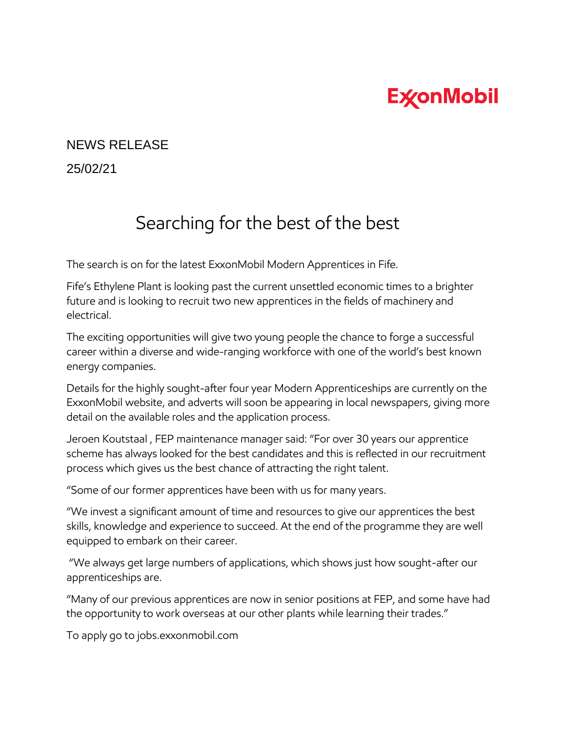## **ExconMobil**

## NEWS RELEASE

25/02/21

## Searching for the best of the best

The search is on for the latest ExxonMobil Modern Apprentices in Fife.

Fife's Ethylene Plant is looking past the current unsettled economic times to a brighter future and is looking to recruit two new apprentices in the fields of machinery and electrical.

The exciting opportunities will give two young people the chance to forge a successful career within a diverse and wide-ranging workforce with one of the world's best known energy companies.

Details for the highly sought-after four year Modern Apprenticeships are currently on the ExxonMobil website, and adverts will soon be appearing in local newspapers, giving more detail on the available roles and the application process.

Jeroen Koutstaal , FEP maintenance manager said: "For over 30 years our apprentice scheme has always looked for the best candidates and this is reflected in our recruitment process which gives us the best chance of attracting the right talent.

"Some of our former apprentices have been with us for many years.

"We invest a significant amount of time and resources to give our apprentices the best skills, knowledge and experience to succeed. At the end of the programme they are well equipped to embark on their career.

"We always get large numbers of applications, which shows just how sought-after our apprenticeships are.

"Many of our previous apprentices are now in senior positions at FEP, and some have had the opportunity to work overseas at our other plants while learning their trades."

To apply go to jobs.exxonmobil.com